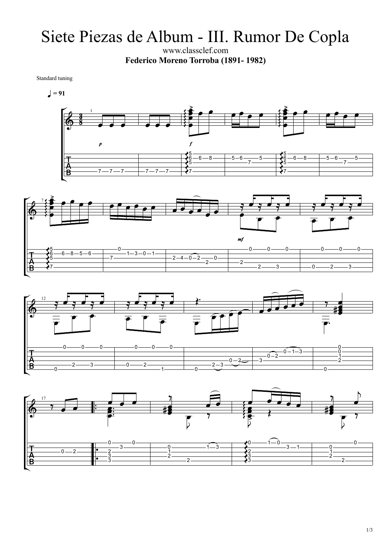## Siete Piezas de Album - III. Rumor De Copla

www.classclef.com **Federico Moreno Torroba (1891- 1982)**

Standard tuning









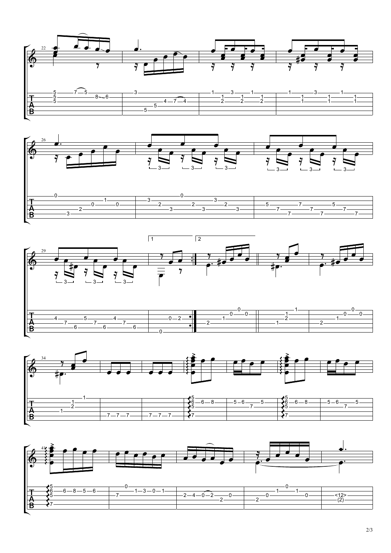